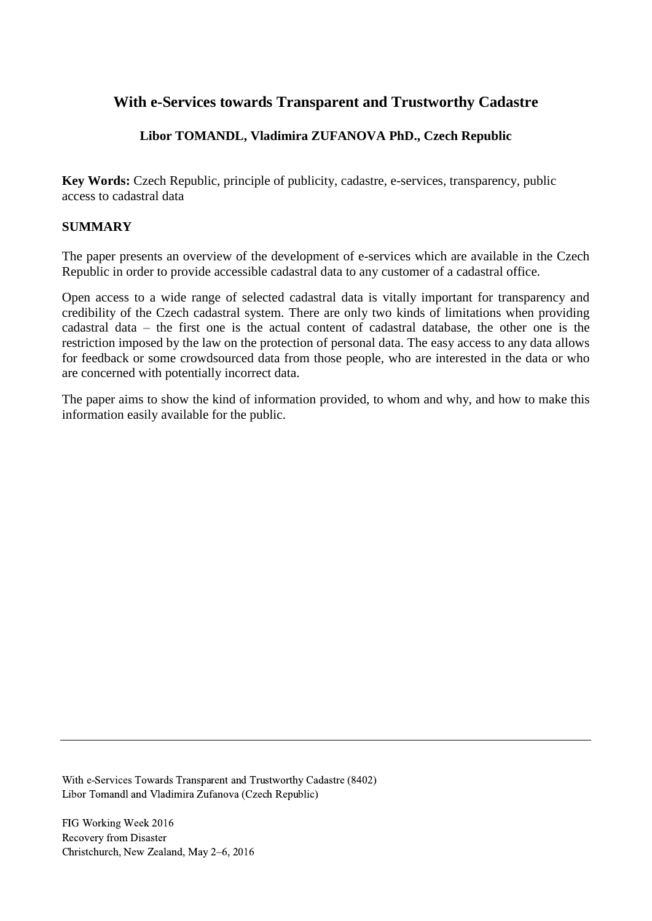# **With e-Services towards Transparent and Trustworthy Cadastre**

# **Libor TOMANDL, Vladimira ZUFANOVA PhD., Czech Republic**

**Key Words:** Czech Republic, principle of publicity, cadastre, e-services, transparency, public access to cadastral data

### **SUMMARY**

The paper presents an overview of the development of e-services which are available in the Czech Republic in order to provide accessible cadastral data to any customer of a cadastral office.

Open access to a wide range of selected cadastral data is vitally important for transparency and credibility of the Czech cadastral system. There are only two kinds of limitations when providing cadastral data – the first one is the actual content of cadastral database, the other one is the restriction imposed by the law on the protection of personal data. The easy access to any data allows for feedback or some crowdsourced data from those people, who are interested in the data or who are concerned with potentially incorrect data.

The paper aims to show the kind of information provided, to whom and why, and how to make this information easily available for the public.

With e-Services Towards Transparent and Trustworthy Cadastre (8402) Libor Tomandl and Vladimira Zufanova (Czech Republic)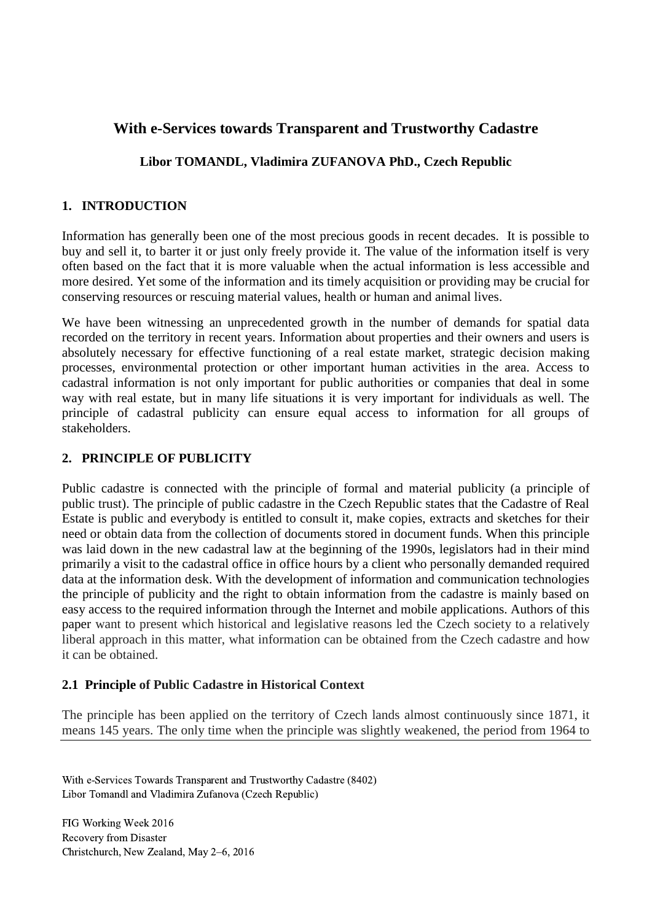# **With e-Services towards Transparent and Trustworthy Cadastre**

### **Libor TOMANDL, Vladimira ZUFANOVA PhD., Czech Republic**

### **1. INTRODUCTION**

Information has generally been one of the most precious goods in recent decades. It is possible to buy and sell it, to barter it or just only freely provide it. The value of the information itself is very often based on the fact that it is more valuable when the actual information is less accessible and more desired. Yet some of the information and its timely acquisition or providing may be crucial for conserving resources or rescuing material values, health or human and animal lives.

We have been witnessing an unprecedented growth in the number of demands for spatial data recorded on the territory in recent years. Information about properties and their owners and users is absolutely necessary for effective functioning of a real estate market, strategic decision making processes, environmental protection or other important human activities in the area. Access to cadastral information is not only important for public authorities or companies that deal in some way with real estate, but in many life situations it is very important for individuals as well. The principle of cadastral publicity can ensure equal access to information for all groups of stakeholders.

### **2. PRINCIPLE OF PUBLICITY**

Public cadastre is connected with the principle of formal and material publicity (a principle of public trust). The principle of public cadastre in the Czech Republic states that the Cadastre of Real Estate is public and everybody is entitled to consult it, make copies, extracts and sketches for their need or obtain data from the collection of documents stored in document funds. When this principle was laid down in the new cadastral law at the beginning of the 1990s, legislators had in their mind primarily a visit to the cadastral office in office hours by a client who personally demanded required data at the information desk. With the development of information and communication technologies the principle of publicity and the right to obtain information from the cadastre is mainly based on easy access to the required information through the Internet and mobile applications. Authors of this paper want to present which historical and legislative reasons led the Czech society to a relatively liberal approach in this matter, what information can be obtained from the Czech cadastre and how it can be obtained.

#### **2.1 Principle of Public Cadastre in Historical Context**

The principle has been applied on the territory of Czech lands almost continuously since 1871, it means 145 years. The only time when the principle was slightly weakened, the period from 1964 to

With e-Services Towards Transparent and Trustworthy Cadastre (8402) Libor Tomandl and Vladimira Zufanova (Czech Republic)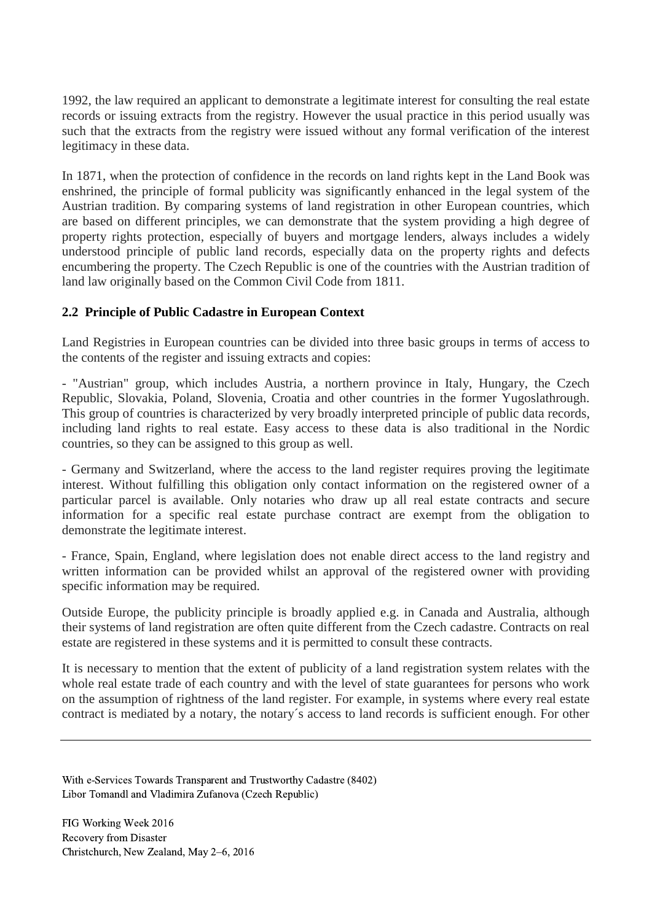1992, the law required an applicant to demonstrate a legitimate interest for consulting the real estate records or issuing extracts from the registry. However the usual practice in this period usually was such that the extracts from the registry were issued without any formal verification of the interest legitimacy in these data.

In 1871, when the protection of confidence in the records on land rights kept in the Land Book was enshrined, the principle of formal publicity was significantly enhanced in the legal system of the Austrian tradition. By comparing systems of land registration in other European countries, which are based on different principles, we can demonstrate that the system providing a high degree of property rights protection, especially of buyers and mortgage lenders, always includes a widely understood principle of public land records, especially data on the property rights and defects encumbering the property. The Czech Republic is one of the countries with the Austrian tradition of land law originally based on the Common Civil Code from 1811.

### **2.2 Principle of Public Cadastre in European Context**

Land Registries in European countries can be divided into three basic groups in terms of access to the contents of the register and issuing extracts and copies:

- "Austrian" group, which includes Austria, a northern province in Italy, Hungary, the Czech Republic, Slovakia, Poland, Slovenia, Croatia and other countries in the former Yugoslathrough. This group of countries is characterized by very broadly interpreted principle of public data records, including land rights to real estate. Easy access to these data is also traditional in the Nordic countries, so they can be assigned to this group as well.

- Germany and Switzerland, where the access to the land register requires proving the legitimate interest. Without fulfilling this obligation only contact information on the registered owner of a particular parcel is available. Only notaries who draw up all real estate contracts and secure information for a specific real estate purchase contract are exempt from the obligation to demonstrate the legitimate interest.

- France, Spain, England, where legislation does not enable direct access to the land registry and written information can be provided whilst an approval of the registered owner with providing specific information may be required.

Outside Europe, the publicity principle is broadly applied e.g. in Canada and Australia, although their systems of land registration are often quite different from the Czech cadastre. Contracts on real estate are registered in these systems and it is permitted to consult these contracts.

It is necessary to mention that the extent of publicity of a land registration system relates with the whole real estate trade of each country and with the level of state guarantees for persons who work on the assumption of rightness of the land register. For example, in systems where every real estate contract is mediated by a notary, the notary´s access to land records is sufficient enough. For other

With e-Services Towards Transparent and Trustworthy Cadastre (8402) Libor Tomandl and Vladimira Zufanova (Czech Republic)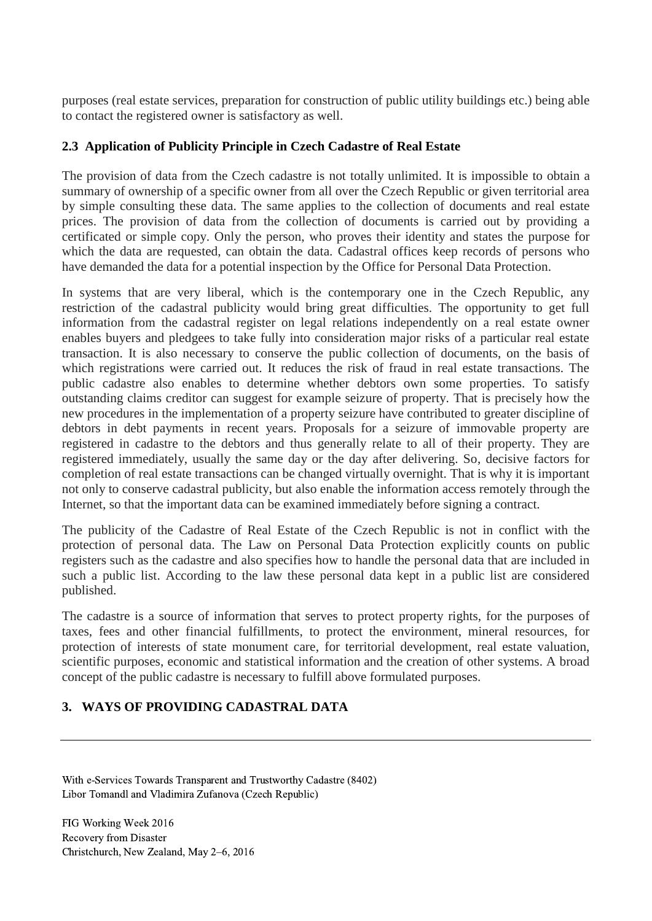purposes (real estate services, preparation for construction of public utility buildings etc.) being able to contact the registered owner is satisfactory as well.

### **2.3 Application of Publicity Principle in Czech Cadastre of Real Estate**

The provision of data from the Czech cadastre is not totally unlimited. It is impossible to obtain a summary of ownership of a specific owner from all over the Czech Republic or given territorial area by simple consulting these data. The same applies to the collection of documents and real estate prices. The provision of data from the collection of documents is carried out by providing a certificated or simple copy. Only the person, who proves their identity and states the purpose for which the data are requested, can obtain the data. Cadastral offices keep records of persons who have demanded the data for a potential inspection by the Office for Personal Data Protection.

In systems that are very liberal, which is the contemporary one in the Czech Republic, any restriction of the cadastral publicity would bring great difficulties. The opportunity to get full information from the cadastral register on legal relations independently on a real estate owner enables buyers and pledgees to take fully into consideration major risks of a particular real estate transaction. It is also necessary to conserve the public collection of documents, on the basis of which registrations were carried out. It reduces the risk of fraud in real estate transactions. The public cadastre also enables to determine whether debtors own some properties. To satisfy outstanding claims creditor can suggest for example seizure of property. That is precisely how the new procedures in the implementation of a property seizure have contributed to greater discipline of debtors in debt payments in recent years. Proposals for a seizure of immovable property are registered in cadastre to the debtors and thus generally relate to all of their property. They are registered immediately, usually the same day or the day after delivering. So, decisive factors for completion of real estate transactions can be changed virtually overnight. That is why it is important not only to conserve cadastral publicity, but also enable the information access remotely through the Internet, so that the important data can be examined immediately before signing a contract.

The publicity of the Cadastre of Real Estate of the Czech Republic is not in conflict with the protection of personal data. The Law on Personal Data Protection explicitly counts on public registers such as the cadastre and also specifies how to handle the personal data that are included in such a public list. According to the law these personal data kept in a public list are considered published.

The cadastre is a source of information that serves to protect property rights, for the purposes of taxes, fees and other financial fulfillments, to protect the environment, mineral resources, for protection of interests of state monument care, for territorial development, real estate valuation, scientific purposes, economic and statistical information and the creation of other systems. A broad concept of the public cadastre is necessary to fulfill above formulated purposes.

# **3. WAYS OF PROVIDING CADASTRAL DATA**

With e-Services Towards Transparent and Trustworthy Cadastre (8402) Libor Tomandl and Vladimira Zufanova (Czech Republic)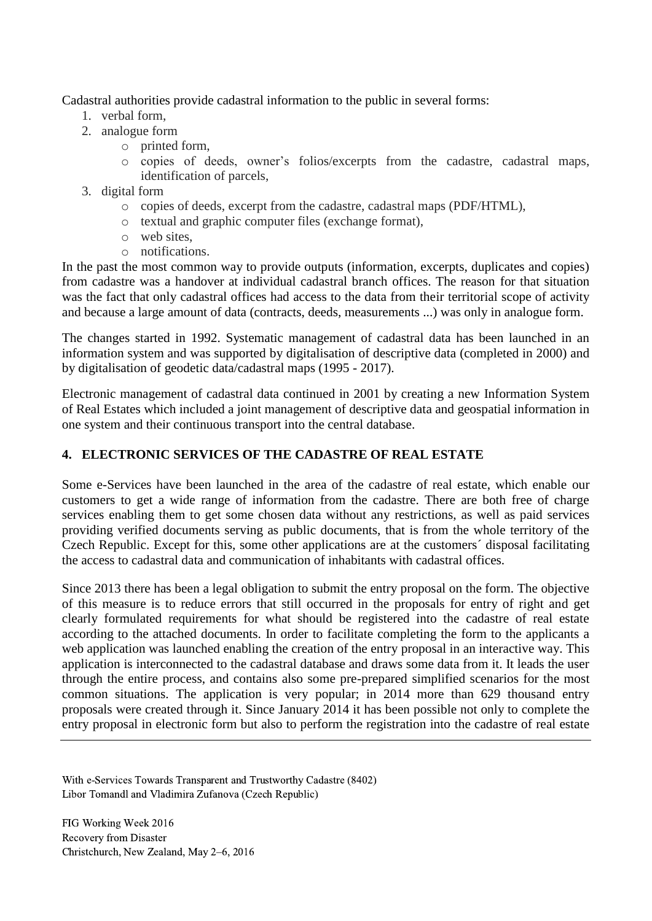Cadastral authorities provide cadastral information to the public in several forms:

- 1. verbal form,
- 2. analogue form
	- o printed form,
	- o copies of deeds, owner's folios/excerpts from the cadastre, cadastral maps, identification of parcels,
- 3. digital form
	- o copies of deeds, excerpt from the cadastre, cadastral maps (PDF/HTML),
	- o textual and graphic computer files (exchange format),
	- o web sites,
	- o notifications.

In the past the most common way to provide outputs (information, excerpts, duplicates and copies) from cadastre was a handover at individual cadastral branch offices. The reason for that situation was the fact that only cadastral offices had access to the data from their territorial scope of activity and because a large amount of data (contracts, deeds, measurements ...) was only in analogue form.

The changes started in 1992. Systematic management of cadastral data has been launched in an information system and was supported by digitalisation of descriptive data (completed in 2000) and by digitalisation of geodetic data/cadastral maps (1995 - 2017).

Electronic management of cadastral data continued in 2001 by creating a new Information System of Real Estates which included a joint management of descriptive data and geospatial information in one system and their continuous transport into the central database.

## **4. ELECTRONIC SERVICES OF THE CADASTRE OF REAL ESTATE**

Some e-Services have been launched in the area of the cadastre of real estate, which enable our customers to get a wide range of information from the cadastre. There are both free of charge services enabling them to get some chosen data without any restrictions, as well as paid services providing verified documents serving as public documents, that is from the whole territory of the Czech Republic. Except for this, some other applications are at the customers´ disposal facilitating the access to cadastral data and communication of inhabitants with cadastral offices.

Since 2013 there has been a legal obligation to submit the entry proposal on the form. The objective of this measure is to reduce errors that still occurred in the proposals for entry of right and get clearly formulated requirements for what should be registered into the cadastre of real estate according to the attached documents. In order to facilitate completing the form to the applicants a web application was launched enabling the creation of the entry proposal in an interactive way. This application is interconnected to the cadastral database and draws some data from it. It leads the user through the entire process, and contains also some pre-prepared simplified scenarios for the most common situations. The application is very popular; in 2014 more than 629 thousand entry proposals were created through it. Since January 2014 it has been possible not only to complete the entry proposal in electronic form but also to perform the registration into the cadastre of real estate

With e-Services Towards Transparent and Trustworthy Cadastre (8402) Libor Tomandl and Vladimira Zufanova (Czech Republic)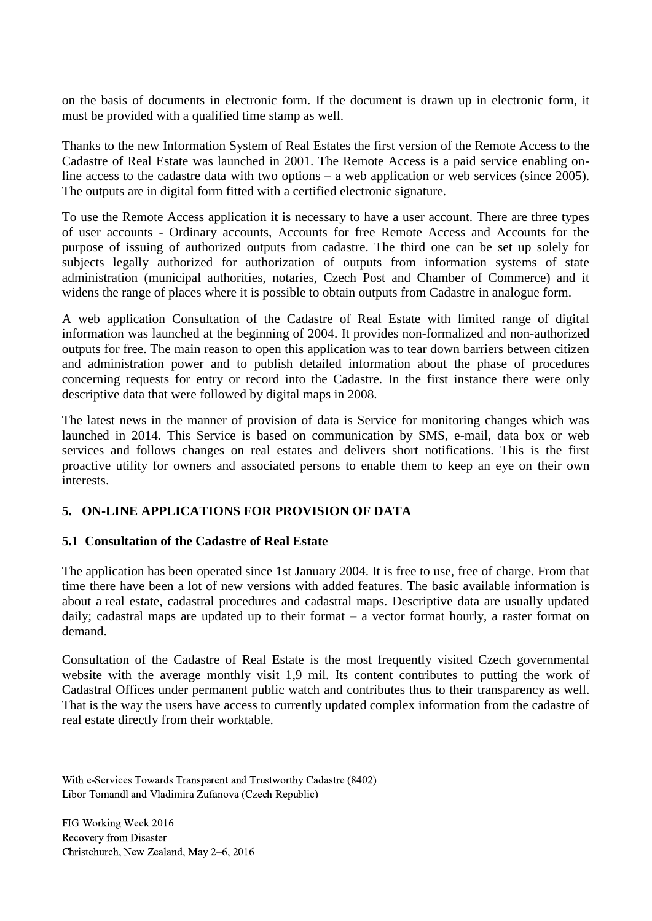on the basis of documents in electronic form. If the document is drawn up in electronic form, it must be provided with a qualified time stamp as well.

Thanks to the new Information System of Real Estates the first version of the Remote Access to the Cadastre of Real Estate was launched in 2001. The Remote Access is a paid service enabling online access to the cadastre data with two options – a web application or web services (since 2005). The outputs are in digital form fitted with a certified electronic signature.

To use the Remote Access application it is necessary to have a user account. There are three types of user accounts - Ordinary accounts, Accounts for free Remote Access and Accounts for the purpose of issuing of authorized outputs from cadastre. The third one can be set up solely for subjects legally authorized for authorization of outputs from information systems of state administration (municipal authorities, notaries, Czech Post and Chamber of Commerce) and it widens the range of places where it is possible to obtain outputs from Cadastre in analogue form.

A web application Consultation of the Cadastre of Real Estate with limited range of digital information was launched at the beginning of 2004. It provides non-formalized and non-authorized outputs for free. The main reason to open this application was to tear down barriers between citizen and administration power and to publish detailed information about the phase of procedures concerning requests for entry or record into the Cadastre. In the first instance there were only descriptive data that were followed by digital maps in 2008.

The latest news in the manner of provision of data is Service for monitoring changes which was launched in 2014. This Service is based on communication by SMS, e-mail, data box or web services and follows changes on real estates and delivers short notifications. This is the first proactive utility for owners and associated persons to enable them to keep an eye on their own interests.

# **5. ON-LINE APPLICATIONS FOR PROVISION OF DATA**

### **5.1 Consultation of the Cadastre of Real Estate**

The application has been operated since 1st January 2004. It is free to use, free of charge. From that time there have been a lot of new versions with added features. The basic available information is about a real estate, cadastral procedures and cadastral maps. Descriptive data are usually updated daily; cadastral maps are updated up to their format – a vector format hourly, a raster format on demand.

Consultation of the Cadastre of Real Estate is the most frequently visited Czech governmental website with the average monthly visit 1,9 mil. Its content contributes to putting the work of Cadastral Offices under permanent public watch and contributes thus to their transparency as well. That is the way the users have access to currently updated complex information from the cadastre of real estate directly from their worktable.

With e-Services Towards Transparent and Trustworthy Cadastre (8402) Libor Tomandl and Vladimira Zufanova (Czech Republic)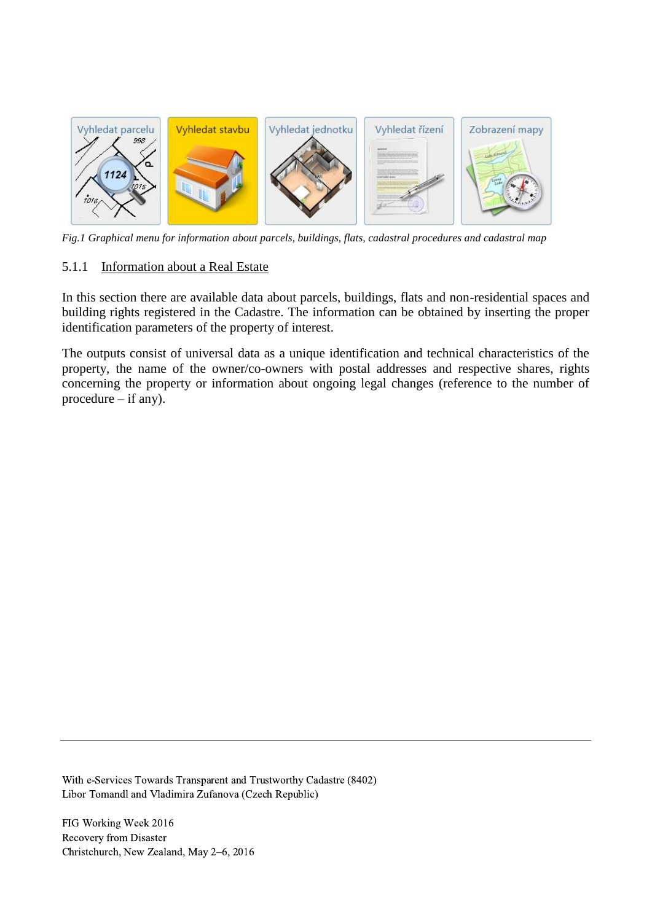

*Fig.1 Graphical menu for information about parcels, buildings, flats, cadastral procedures and cadastral map*

#### 5.1.1 Information about a Real Estate

In this section there are available data about parcels, buildings, flats and non-residential spaces and building rights registered in the Cadastre. The information can be obtained by inserting the proper identification parameters of the property of interest.

The outputs consist of universal data as a unique identification and technical characteristics of the property, the name of the owner/co-owners with postal addresses and respective shares, rights concerning the property or information about ongoing legal changes (reference to the number of procedure – if any).

With e-Services Towards Transparent and Trustworthy Cadastre (8402) Libor Tomandl and Vladimira Zufanova (Czech Republic)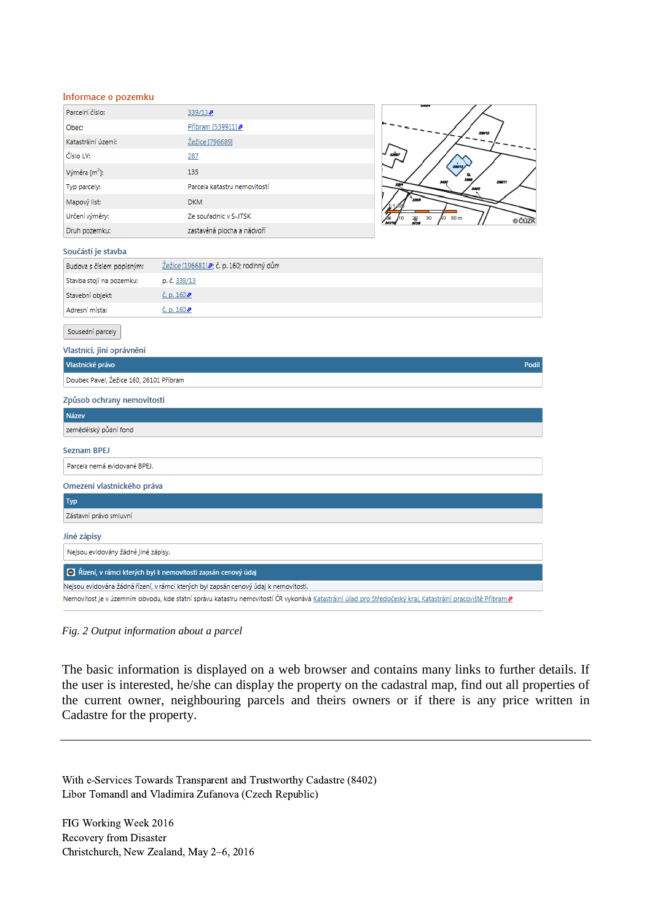| Informace o pozemku |  |  |  |  |  |  |  |  |
|---------------------|--|--|--|--|--|--|--|--|
|---------------------|--|--|--|--|--|--|--|--|

| Parcelní číslo:                                    | 339/13                                                                               |                    |
|----------------------------------------------------|--------------------------------------------------------------------------------------|--------------------|
| Obec:                                              | Příbram [539911]                                                                     |                    |
| Katastrální území:                                 | Žežice [796689]                                                                      |                    |
| Číslo LV:                                          | 287                                                                                  |                    |
| Výměra [m <sup>2</sup> ]:                          | 135                                                                                  |                    |
| Typ parcely:                                       | Parcela katastru nemovitostí                                                         |                    |
| Mapový list:                                       | <b>DKM</b>                                                                           |                    |
| Určení výměry:                                     | Ze souřadnic v S-JTSK                                                                | 50 m<br>30<br>e čú |
| Druh pozemku:                                      | zastavěná plocha a nádvoří                                                           |                    |
| Součástí je stavba                                 |                                                                                      |                    |
| Budova s číslem popisným:                          | Žežice [196681] 2; č. p. 160; rodinný dům                                            |                    |
| Stavba stojí na pozemku:                           | p. č. 339/13                                                                         |                    |
| Stavební objekt:                                   | $\zeta$ . p. 160 $\bar{z}$                                                           |                    |
| Adresní místa:                                     | $E$ , p. 160 $ិ$                                                                     |                    |
| Sousední parcely<br>Vlastníci, jiní oprávnění      |                                                                                      |                    |
|                                                    |                                                                                      |                    |
| Vlastnické právo                                   |                                                                                      | Podíl              |
| Doubek Pavel, Žežice 160, 26101 Příbram            |                                                                                      |                    |
|                                                    |                                                                                      |                    |
| Způsob ochrany nemovitosti<br><b>Název</b>         |                                                                                      |                    |
| zemědělský půdní fond                              |                                                                                      |                    |
| Seznam BPEJ                                        |                                                                                      |                    |
| Parcela nemá evidované BPEJ.                       |                                                                                      |                    |
| Omezení vlastnického práva                         |                                                                                      |                    |
| <b>Typ</b>                                         |                                                                                      |                    |
| Zástavní právo smluvní                             |                                                                                      |                    |
|                                                    |                                                                                      |                    |
| Jiné zápisy<br>Nejsou evidovány žádné jiné zápisy. |                                                                                      |                    |
|                                                    | Řízení, v rámci kterých byl k nemovitosti zapsán cenový údaj                         |                    |
|                                                    | Nejsou evidována žádná řízení, v rámci kterých byl zapsán cenový údaj k nemovitosti. |                    |

*Fig. 2 Output information about a parcel*

The basic information is displayed on a web browser and contains many links to further details. If the user is interested, he/she can display the property on the cadastral map, find out all properties of the current owner, neighbouring parcels and theirs owners or if there is any price written in Cadastre for the property.

With e-Services Towards Transparent and Trustworthy Cadastre (8402) Libor Tomandl and Vladimira Zufanova (Czech Republic)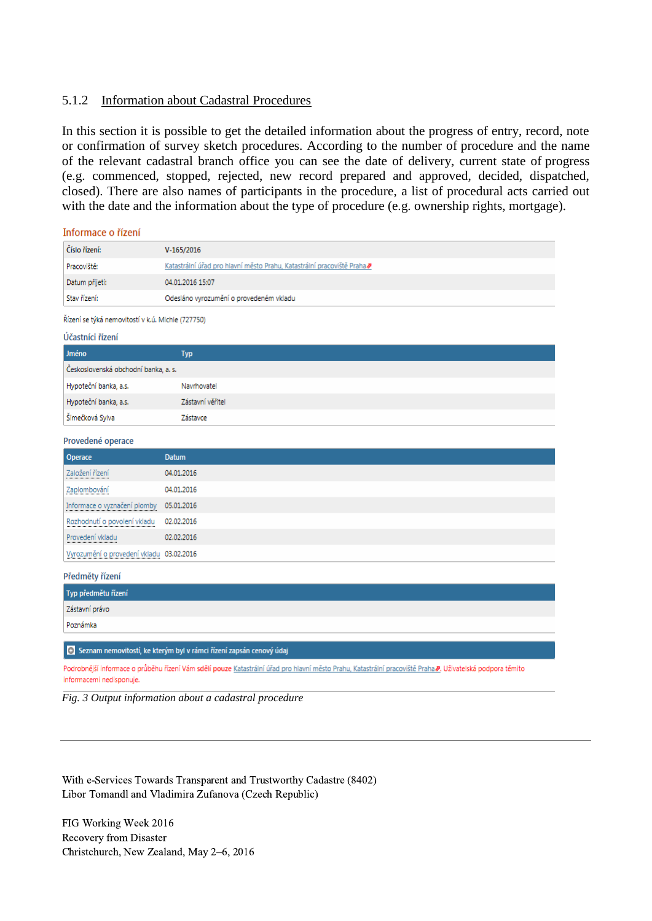#### 5.1.2 Information about Cadastral Procedures

In this section it is possible to get the detailed information about the progress of entry, record, note or confirmation of survey sketch procedures. According to the number of procedure and the name of the relevant cadastral branch office you can see the date of delivery, current state of progress (e.g. commenced, stopped, rejected, new record prepared and approved, decided, dispatched, closed). There are also names of participants in the procedure, a list of procedural acts carried out with the date and the information about the type of procedure (e.g. ownership rights, mortgage).

Informace o řízení

Provedení vkladu

| Číslo řízení:  | V-165/2016                                                                                |
|----------------|-------------------------------------------------------------------------------------------|
| Pracoviště:    | Katastrální úřad pro hlavní město Prahu, Katastrální pracoviště Praha $\bar{\mathcal{P}}$ |
| Datum přijetí: | 04.01.2016 15:07                                                                          |
| Stav řízení:   | Odesláno vyrozumění o provedeném vkladu                                                   |

Řízení se týká nemovitostí v k.ú. Michle (727750)

| Účastníci řízení                     |                  |  |
|--------------------------------------|------------------|--|
| Jméno                                | <b>Typ</b>       |  |
| Československá obchodní banka, a. s. |                  |  |
| Hypoteční banka, a.s.                | Navrhovatel      |  |
| Hypoteční banka, a.s.                | Zástavní věřitel |  |
| Šimečková Sylva                      | Zástavce         |  |
| Provedené operace                    |                  |  |
| <b>Operace</b>                       | <b>Datum</b>     |  |
| Založení řízení<br>                  | 04.01.2016       |  |
| Zaplombování                         | 04.01.2016       |  |
| Informace o vyznačení plomby         | 05.01.2016       |  |
| Rozhodnutí o povolení vkladu         | 02.02.2016       |  |

| Vyrozumění o provedení vkladu 03.02.2016 |
|------------------------------------------|
| Předměty řízení                          |
| Typ předmětu řízení                      |
| Zástavní právo                           |
| Poznámka                                 |

+ Seznam nemovitostí, ke kterým byl v rámci řízení zapsán cenový údaj

02.02.2016

Podrobnější informace o průběhu řízení Vám sdělí pouze Katastrální úřad pro hlavní město Prahu, Katastrální pracoviště Praha Z. Uživatelská podpora těmito informacemi nedisponuje.



With e-Services Towards Transparent and Trustworthy Cadastre (8402) Libor Tomandl and Vladimira Zufanova (Czech Republic)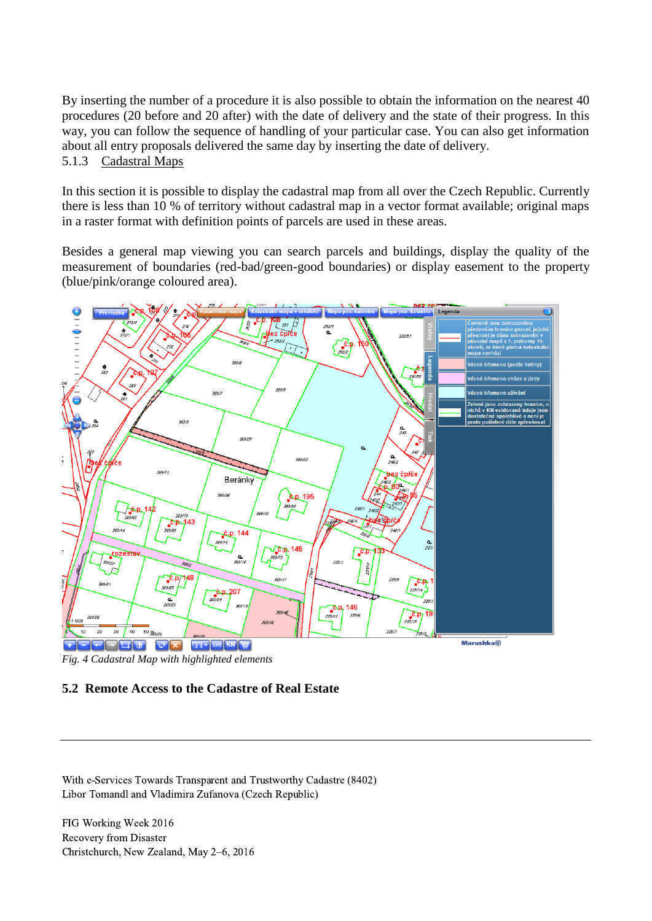By inserting the number of a procedure it is also possible to obtain the information on the nearest 40 procedures (20 before and 20 after) with the date of delivery and the state of their progress. In this way, you can follow the sequence of handling of your particular case. You can also get information about all entry proposals delivered the same day by inserting the date of delivery. 5.1.3 Cadastral Maps

In this section it is possible to display the cadastral map from all over the Czech Republic. Currently there is less than 10 % of territory without cadastral map in a vector format available; original maps in a raster format with definition points of parcels are used in these areas.

Besides a general map viewing you can search parcels and buildings, display the quality of the measurement of boundaries (red-bad/green-good boundaries) or display easement to the property (blue/pink/orange coloured area).



*Fig. 4 Cadastral Map with highlighted elements*

### **5.2 Remote Access to the Cadastre of Real Estate**

With e-Services Towards Transparent and Trustworthy Cadastre (8402) Libor Tomandl and Vladimira Zufanova (Czech Republic)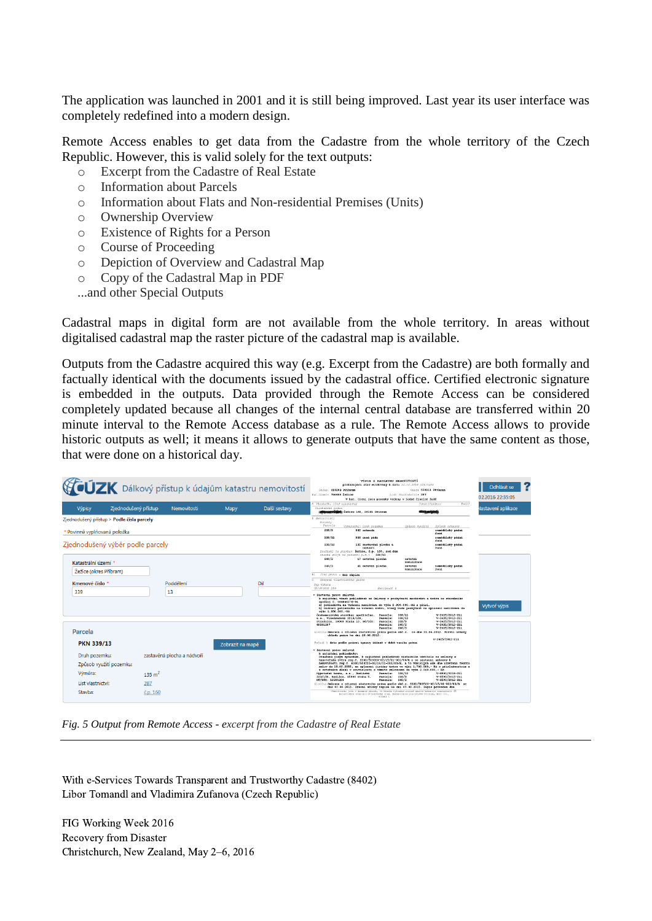The application was launched in 2001 and it is still being improved. Last year its user interface was completely redefined into a modern design.

Remote Access enables to get data from the Cadastre from the whole territory of the Czech Republic. However, this is valid solely for the text outputs:

- o Excerpt from the Cadastre of Real Estate
- o Information about Parcels
- o Information about Flats and Non-residential Premises (Units)
- o Ownership Overview
- o Existence of Rights for a Person
- o Course of Proceeding
- o Depiction of Overview and Cadastral Map
- o Copy of the Cadastral Map in PDF
- ...and other Special Outputs

Cadastral maps in digital form are not available from the whole territory. In areas without digitalised cadastral map the raster picture of the cadastral map is available.

Outputs from the Cadastre acquired this way (e.g. Excerpt from the Cadastre) are both formally and factually identical with the documents issued by the cadastral office. Certified electronic signature is embedded in the outputs. Data provided through the Remote Access can be considered completely updated because all changes of the internal central database are transferred within 20 minute interval to the Remote Access database as a rule. The Remote Access allows to provide historic outputs as well; it means it allows to generate outputs that have the same content as those, that were done on a historical day.

|                                                     | <b>VIZK</b> Dálkový přístup k údajům katastru nemovitostí | VÝPIS Z KATASTEU NEMOVITOSTÍ<br>prokazující stav evidovaný k datu 22.02.2016 22:35:02<br>Okres: C5020B P£ibran<br>Check 539911 Pribran<br>Kat. Grand: 796689 Eelice<br>List vlastnictvi: 287 |               |                                                                                                                                                                                                                   |                                                                                                                                                                                                                                                                                                                                                                                                                                                                              | Odhlásit se<br>02.2016 22:35:05     |                                                                          |                           |
|-----------------------------------------------------|-----------------------------------------------------------|----------------------------------------------------------------------------------------------------------------------------------------------------------------------------------------------|---------------|-------------------------------------------------------------------------------------------------------------------------------------------------------------------------------------------------------------------|------------------------------------------------------------------------------------------------------------------------------------------------------------------------------------------------------------------------------------------------------------------------------------------------------------------------------------------------------------------------------------------------------------------------------------------------------------------------------|-------------------------------------|--------------------------------------------------------------------------|---------------------------|
|                                                     |                                                           |                                                                                                                                                                                              |               | Wastnik, jiný oprávněn                                                                                                                                                                                            | V kat. území jsou pozemky vedeny v jedné čiselné fadě                                                                                                                                                                                                                                                                                                                                                                                                                        |                                     | Post 2<br>Identifikátor                                                  |                           |
| <b>Výpisy</b>                                       | Ziednodušený přístup<br>Nemovitosti                       | Mapy                                                                                                                                                                                         | Další sestavy | Vlastnícké právo                                                                                                                                                                                                  | <b>CONSUMERING Leice 160, 26101 Pribran</b>                                                                                                                                                                                                                                                                                                                                                                                                                                  | <b>GEORGIA CONSULTA</b>             |                                                                          | <b>Jastavení aplikace</b> |
| Ziednodušený přístup > Podle čísla parcely          |                                                           |                                                                                                                                                                                              |               | 5 Nemovitosti<br>Pozonky<br>Parcela                                                                                                                                                                               |                                                                                                                                                                                                                                                                                                                                                                                                                                                                              |                                     |                                                                          |                           |
| Povinně vyplňovaná položka                          |                                                           |                                                                                                                                                                                              |               | 339/9                                                                                                                                                                                                             | Winéra (m21 Druh pozenku<br>962 zahrada                                                                                                                                                                                                                                                                                                                                                                                                                                      | Spůsob vyušítí                      | Sedsob ochrany<br>zemědělský půdni<br>fond                               |                           |
|                                                     |                                                           |                                                                                                                                                                                              |               | 339/11                                                                                                                                                                                                            | 958 orná poda                                                                                                                                                                                                                                                                                                                                                                                                                                                                |                                     | remědělský půdní<br>fond                                                 |                           |
| Zjednodušený výběr podle parcely                    |                                                           |                                                                                                                                                                                              |               | 339/13                                                                                                                                                                                                            | 135 zastavěná plocha a<br>nadvori<br>Souddati je stavbar Žežice, č.p. 160, rod.dům                                                                                                                                                                                                                                                                                                                                                                                           |                                     | zemědělský půdni<br>fond                                                 |                           |
|                                                     |                                                           |                                                                                                                                                                                              |               | 340/2                                                                                                                                                                                                             | Starba stojí na pozemku p.d.: 339/13<br>17 ostatní plocha                                                                                                                                                                                                                                                                                                                                                                                                                    | ostatni                             |                                                                          |                           |
| Katastrální území *                                 |                                                           |                                                                                                                                                                                              |               | 340/3                                                                                                                                                                                                             | 41 ostatni plocha                                                                                                                                                                                                                                                                                                                                                                                                                                                            | komunikace<br>ostatai<br>komunikace | zemědělský půdní<br>fond                                                 |                           |
| Žežice (okres Příbram)                              |                                                           |                                                                                                                                                                                              |               | Jiná práva - Bez zápisu<br>B1                                                                                                                                                                                     |                                                                                                                                                                                                                                                                                                                                                                                                                                                                              |                                     |                                                                          |                           |
| Kmenové číslo *                                     | Poddělení                                                 |                                                                                                                                                                                              | Dil           | ल<br>Cosseni vlastnického práva<br>Tvo vatahu                                                                                                                                                                     |                                                                                                                                                                                                                                                                                                                                                                                                                                                                              |                                     |                                                                          |                           |
| 339                                                 | 13                                                        |                                                                                                                                                                                              |               | Oprávnění pro<br>· Sastavni právo smluvni<br>spoření č. 0848462-8-01<br>vvse 1.680.000,-KO<br>Českomoravská stavební spořitelna,<br>a.s., Vinohradská 3210/169,<br>Strašnice, 10000 Praha 10, RC/ICO;<br>49241397 | Povinnost k<br>k zajištění všech pohledávek ze Smlouvy o poskytnuti meziúvěru a úvěru ze stavebního<br>a) pohledávka na vrácení meziúvěru do výše 2.800.000.-Kč s přisl.<br>b) budouci pohledávka na vzácení úvěru. který bude poskytnut na splacení meziúvěru do<br>Farcela:<br>Parcela:<br>Parcela:<br>Farcela:                                                                                                                                                            | 339/11<br>339/13<br>339/9<br>340/2  | V-2425/2012-211<br>V-2425/2012-211<br>V-2425/2012-211<br>V-2425/2012-211 | Vytvoř výpis              |
| Parcela                                             |                                                           |                                                                                                                                                                                              |               |                                                                                                                                                                                                                   | Parcela:<br>Listing Smlouva o zfizeni zastavniho práva podle obč.z. ze dne 23.04.2012. Právni účinky<br>vicladu práva ke dni 26.04.2012.                                                                                                                                                                                                                                                                                                                                     | 340/3                               | V-2425/2012-211                                                          |                           |
| <b>PKN 339/13</b>                                   |                                                           | Zobrazit na mapě                                                                                                                                                                             |               |                                                                                                                                                                                                                   | Fofadi k datu podle právní úpravy účinné v době vzniku práva                                                                                                                                                                                                                                                                                                                                                                                                                 |                                     | V-2425/2012-211                                                          |                           |
| Druh pozemku:<br>Způsob využití pozemku:<br>Výměra: | zastavěná plocha a nádvoří<br>$135 \text{ m}^2$           |                                                                                                                                                                                              |               | · Sastavni právo smluvni<br>k zajištění pohledávky:<br>Nypoteční banka, a.s., Radlická<br>333/150. Radlice, 15000 Praha S.                                                                                        | Označená jiným způsobem. k zajištění pohledávek zástavního věřitele ze smlouvy o<br>hvpotečnim úvěru res.č. 6300/503720-02/15/01-001/00/8 a se zástavní smlouvy k<br>nemovitosti reg.č. 6300/503720-02/15/01-002/00/R, a to vzniklých ode dne uzavření těchto<br>smluv do 15.02.2055, na splaceni jistiny úvěru ve výši 1.700.000,- Kd s přislušenstvím a<br>z ostatnich dluhů v souvislosti s těmito smlouvani do výše 2.040.000,- Rč.<br>Parcela: 339/13<br>Parcela: 339/9 |                                     | V-8590/2015-211<br>V-8590/2015-211                                       |                           |
| List vlastnictví:                                   | 287                                                       |                                                                                                                                                                                              |               | RC/ICO: 13584324                                                                                                                                                                                                  | Parcela:<br>Listine Smlouva o zfizeni zastavniho práva podle obč.z. 6300/503720-02/15/01-002/00/R ze                                                                                                                                                                                                                                                                                                                                                                         | 340/2                               | V-8590/2015-211                                                          |                           |
| Stavba:                                             | č.p. 160                                                  |                                                                                                                                                                                              |               |                                                                                                                                                                                                                   | dne 07.08.2015. Právní účinky zápisu ke dni 07.08.2015. Zápis proveden dne<br>Nemovitorti jrou v dresnim obvodu, ve kterém vrkonává státní strávy katastry nemovitosti ČR<br>Estarträini třad pro Středobeský kraj, Estarträini pracoviřtě Fřibram, 30d: III.<br>straps 1                                                                                                                                                                                                    |                                     |                                                                          |                           |

*Fig. 5 Output from Remote Access - excerpt from the Cadastre of Real Estate*

With e-Services Towards Transparent and Trustworthy Cadastre (8402) Libor Tomandl and Vladimira Zufanova (Czech Republic)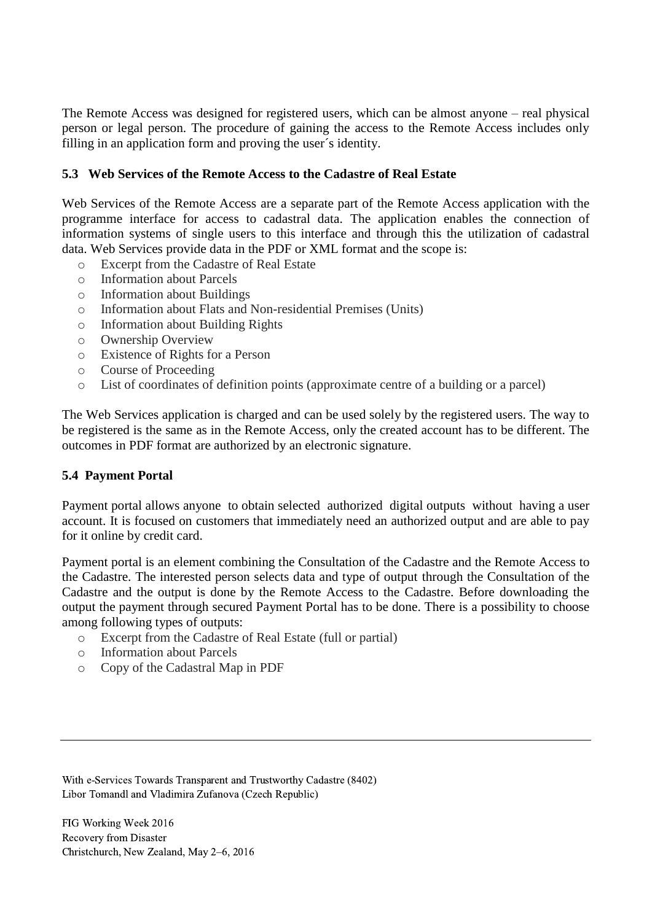The Remote Access was designed for registered users, which can be almost anyone – real physical person or legal person. The procedure of gaining the access to the Remote Access includes only filling in an application form and proving the user´s identity.

### **5.3 Web Services of the Remote Access to the Cadastre of Real Estate**

Web Services of the Remote Access are a separate part of the Remote Access application with the programme interface for access to cadastral data. The application enables the connection of information systems of single users to this interface and through this the utilization of cadastral data. Web Services provide data in the PDF or XML format and the scope is:

- o Excerpt from the Cadastre of Real Estate
- o Information about Parcels
- o Information about Buildings
- o Information about Flats and Non-residential Premises (Units)
- o Information about Building Rights
- o Ownership Overview
- o Existence of Rights for a Person
- o Course of Proceeding
- o List of coordinates of definition points (approximate centre of a building or a parcel)

The Web Services application is charged and can be used solely by the registered users. The way to be registered is the same as in the Remote Access, only the created account has to be different. The outcomes in PDF format are authorized by an electronic signature.

#### **5.4 Payment Portal**

Payment portal allows anyone to obtain selected authorized digital outputs without having a user account. It is focused on customers that immediately need an authorized output and are able to pay for it online by credit card.

Payment portal is an element combining the Consultation of the Cadastre and the Remote Access to the Cadastre. The interested person selects data and type of output through the Consultation of the Cadastre and the output is done by the Remote Access to the Cadastre. Before downloading the output the payment through secured Payment Portal has to be done. There is a possibility to choose among following types of outputs:

- o Excerpt from the Cadastre of Real Estate (full or partial)
- o Information about Parcels
- o Copy of the Cadastral Map in PDF

With e-Services Towards Transparent and Trustworthy Cadastre (8402) Libor Tomandl and Vladimira Zufanova (Czech Republic)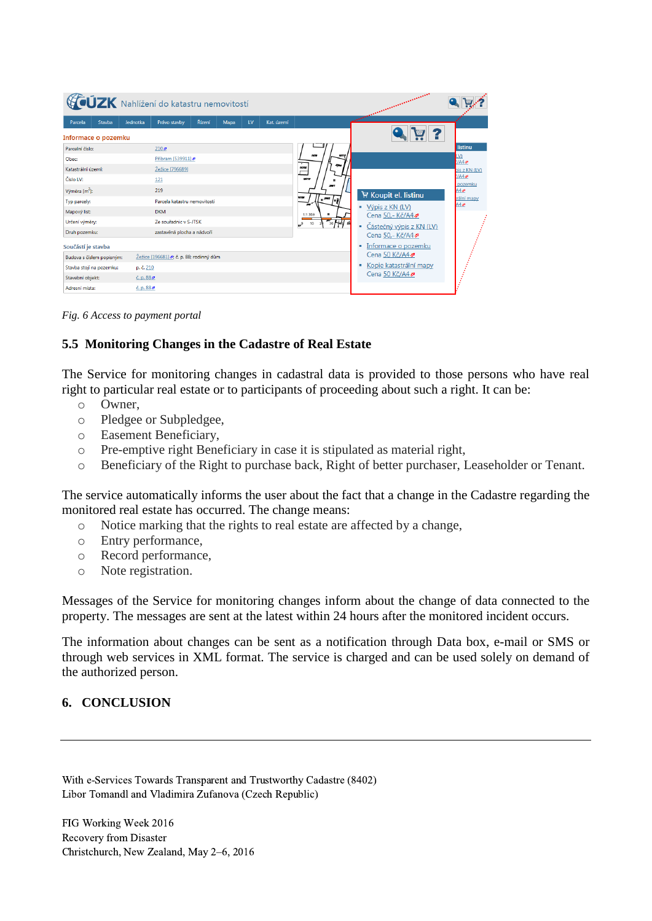| <b>CÚZK</b> Nahlížení do katastru nemovitostí |  |                            |                                          |        |      |    |            |                                         | <b>COMMUNISMENT COMMUNISMENT</b>   |                     |  |  |
|-----------------------------------------------|--|----------------------------|------------------------------------------|--------|------|----|------------|-----------------------------------------|------------------------------------|---------------------|--|--|
| Stavba<br>Parcela                             |  | Jednotka                   | Právo stavby                             | Řízení | Mapa | LV | Kat. území |                                         | <b>SERVICE</b>                     |                     |  |  |
| Informace o pozemku                           |  |                            |                                          |        |      |    |            |                                         |                                    |                     |  |  |
| Parcelní číslo:                               |  |                            | 210 <sub>2</sub>                         |        |      |    |            |                                         |                                    | listinu             |  |  |
| Obec:                                         |  |                            | Příbram [539911]                         |        |      |    |            | 187/12<br>1978                          |                                    | LV)<br><b>E/A42</b> |  |  |
| Katastrální území:                            |  |                            | Žežice [796689]                          |        |      |    |            | 19702                                   |                                    | pis z KN (LV)       |  |  |
| Číslo LV:                                     |  |                            | 121                                      |        |      |    |            | tezno                                   |                                    | HAA<br>pozemku      |  |  |
| Výměra [m <sup>2</sup> ]:                     |  |                            | 219                                      |        |      |    |            |                                         | Koupit el. listinu                 | A4                  |  |  |
| Typ parcely:                                  |  |                            | Parcela katastru nemovitosti             |        |      |    |            | 9208<br>,2002                           |                                    | rální mapy<br>A42   |  |  |
| Mapový list:                                  |  |                            | <b>DKM</b>                               |        |      |    |            | 1:1 359                                 | Výpis z KN (LV)<br>Cena 50,- Kč/A4 |                     |  |  |
| Určení výměry:                                |  |                            | Ze souřadnic v S-JTSK                    |        |      |    |            | $\frac{1}{30}$ Held<br>10<br>$\omega^0$ | Částečný výpis z KN (LV)<br>٠      |                     |  |  |
| Druh pozemku:                                 |  |                            | zastavěná plocha a nádvoří               |        |      |    |            |                                         | Cena 50,- Kč/A4                    |                     |  |  |
| Součástí je stavba                            |  |                            |                                          |        |      |    |            |                                         | Informace o pozemku                |                     |  |  |
| Budova s číslem popisným:                     |  |                            | Žežice [196681] .; č. p. 88; rodinný dům |        |      |    |            |                                         | Cena 50 Kč/A4♪                     |                     |  |  |
| Stavba stojí na pozemku:                      |  | p. č. 210                  |                                          |        |      |    |            |                                         | Kopie katastrální mapy             |                     |  |  |
| Stavební objekt:                              |  | $\zeta$ . p. 88 $\zeta$    |                                          |        |      |    |            |                                         | Cena 50 Kč/A4                      |                     |  |  |
| Adresní místa:                                |  | $\check{c}$ , p. 88 $\neq$ |                                          |        |      |    |            |                                         |                                    |                     |  |  |

*Fig. 6 Access to payment portal*

### **5.5 Monitoring Changes in the Cadastre of Real Estate**

The Service for monitoring changes in cadastral data is provided to those persons who have real right to particular real estate or to participants of proceeding about such a right. It can be:

- o Owner,
- o Pledgee or Subpledgee,
- o Easement Beneficiary,
- o Pre-emptive right Beneficiary in case it is stipulated as material right,
- o Beneficiary of the Right to purchase back, Right of better purchaser, Leaseholder or Tenant.

The service automatically informs the user about the fact that a change in the Cadastre regarding the monitored real estate has occurred. The change means:

- o Notice marking that the rights to real estate are affected by a change,
- o Entry performance,
- o Record performance,
- o Note registration.

Messages of the Service for monitoring changes inform about the change of data connected to the property. The messages are sent at the latest within 24 hours after the monitored incident occurs.

The information about changes can be sent as a notification through Data box, e-mail or SMS or through web services in XML format. The service is charged and can be used solely on demand of the authorized person.

### **6. CONCLUSION**

With e-Services Towards Transparent and Trustworthy Cadastre (8402) Libor Tomandl and Vladimira Zufanova (Czech Republic)